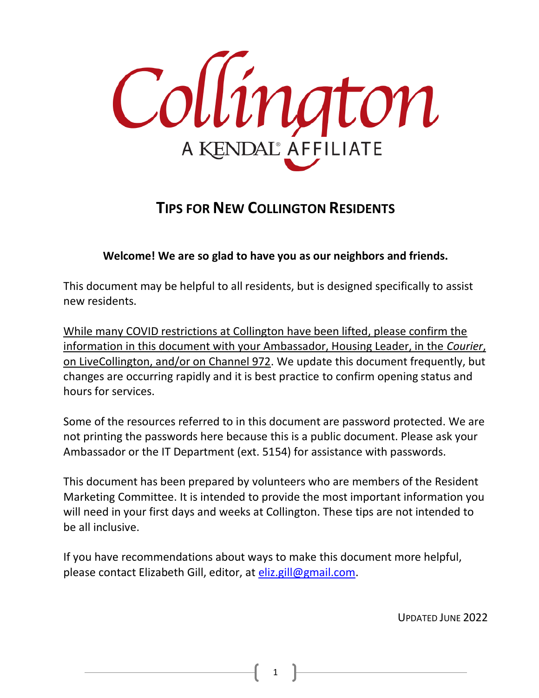

## **TIPS FOR NEW COLLINGTON RESIDENTS**

#### **Welcome! We are so glad to have you as our neighbors and friends.**

This document may be helpful to all residents, but is designed specifically to assist new residents.

While many COVID restrictions at Collington have been lifted, please confirm the information in this document with your Ambassador, Housing Leader, in the *Courier*, on LiveCollington, and/or on Channel 972. We update this document frequently, but changes are occurring rapidly and it is best practice to confirm opening status and hours for services.

Some of the resources referred to in this document are password protected. We are not printing the passwords here because this is a public document. Please ask your Ambassador or the IT Department (ext. 5154) for assistance with passwords.

This document has been prepared by volunteers who are members of the Resident Marketing Committee. It is intended to provide the most important information you will need in your first days and weeks at Collington. These tips are not intended to be all inclusive.

If you have recommendations about ways to make this document more helpful, please contact Elizabeth Gill, editor, at [eliz.gill@gmail.com.](mailto:eliz.gill@gmail.com)

UPDATED JUNE 2022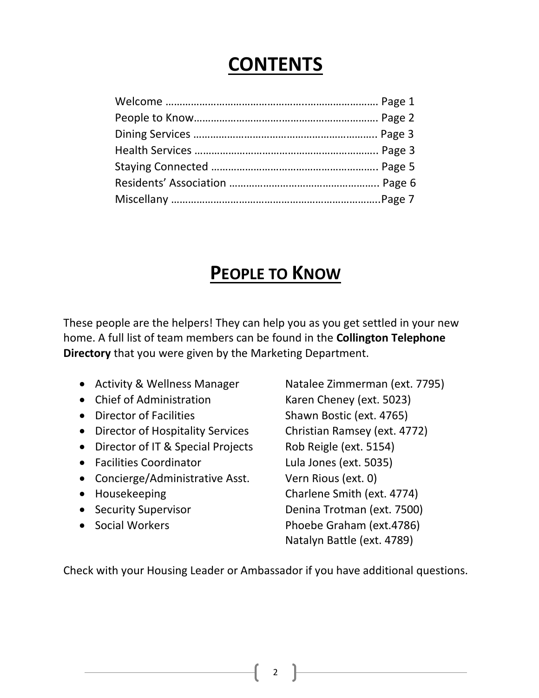# **CONTENTS**

# **PEOPLE TO KNOW**

These people are the helpers! They can help you as you get settled in your new home. A full list of team members can be found in the **Collington Telephone Directory** that you were given by the Marketing Department.

- Activity & Wellness Manager Natalee Zimmerman (ext. 7795)
- Chief of Administration Karen Cheney (ext. 5023)
- 
- Director of Hospitality Services Christian Ramsey (ext. 4772)
- Director of IT & Special Projects Rob Reigle (ext. 5154)
- Facilities Coordinator Lula Jones (ext. 5035)
- Concierge/Administrative Asst. Vern Rious (ext. 0)
- 
- 
- 

• Director of Facilities Shawn Bostic (ext. 4765) Housekeeping Charlene Smith (ext. 4774) • Security Supervisor Denina Trotman (ext. 7500) • Social Workers Phoebe Graham (ext.4786) Natalyn Battle (ext. 4789)

Check with your Housing Leader or Ambassador if you have additional questions.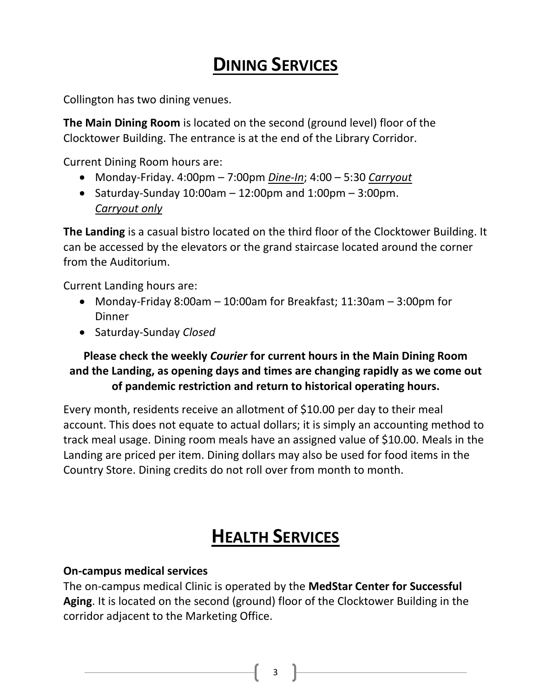# **DINING SERVICES**

Collington has two dining venues.

**The Main Dining Room** is located on the second (ground level) floor of the Clocktower Building. The entrance is at the end of the Library Corridor.

Current Dining Room hours are:

- Monday-Friday. 4:00pm 7:00pm *Dine-In*; 4:00 5:30 *Carryout*
- Saturday-Sunday  $10:00$ am  $-12:00$ pm and  $1:00$ pm  $-3:00$ pm. *Carryout only*

**The Landing** is a casual bistro located on the third floor of the Clocktower Building. It can be accessed by the elevators or the grand staircase located around the corner from the Auditorium.

Current Landing hours are:

- Monday-Friday 8:00am 10:00am for Breakfast; 11:30am 3:00pm for Dinner
- Saturday-Sunday *Closed*

## **Please check the weekly** *Courier* **for current hours in the Main Dining Room and the Landing, as opening days and times are changing rapidly as we come out of pandemic restriction and return to historical operating hours.**

Every month, residents receive an allotment of \$10.00 per day to their meal account. This does not equate to actual dollars; it is simply an accounting method to track meal usage. Dining room meals have an assigned value of \$10.00. Meals in the Landing are priced per item. Dining dollars may also be used for food items in the Country Store. Dining credits do not roll over from month to month.

# **HEALTH SERVICES**

#### **On-campus medical services**

The on-campus medical Clinic is operated by the **MedStar Center for Successful Aging**. It is located on the second (ground) floor of the Clocktower Building in the corridor adjacent to the Marketing Office.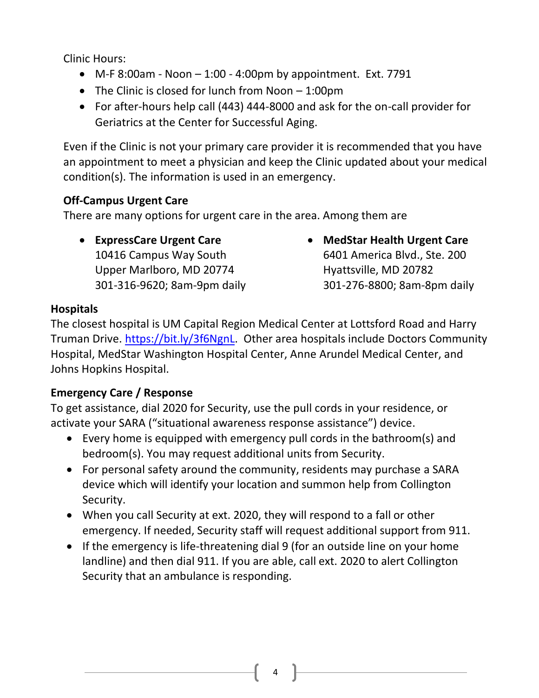Clinic Hours:

- $\bullet$  M-F 8:00am Noon  $-1:00$  4:00pm by appointment. Ext. 7791
- The Clinic is closed for lunch from Noon 1:00pm
- For after-hours help call (443) 444-8000 and ask for the on-call provider for Geriatrics at the Center for Successful Aging.

Even if the Clinic is not your primary care provider it is recommended that you have an appointment to meet a physician and keep the Clinic updated about your medical condition(s). The information is used in an emergency.

#### **Off-Campus Urgent Care**

There are many options for urgent care in the area. Among them are

- **ExpressCare Urgent Care**  10416 Campus Way South Upper Marlboro, MD 20774 301-316-9620; 8am-9pm daily
- **MedStar Health Urgent Care** 6401 America Blvd., Ste. 200 Hyattsville, MD 20782 301-276-8800; 8am-8pm daily

#### **Hospitals**

The closest hospital is UM Capital Region Medical Center at Lottsford Road and Harry Truman Drive. [https://bit.ly/3f6NgnL.](https://bit.ly/3f6NgnL) Other area hospitals include Doctors Community Hospital, MedStar Washington Hospital Center, Anne Arundel Medical Center, and Johns Hopkins Hospital.

#### **Emergency Care / Response**

To get assistance, dial 2020 for Security, use the pull cords in your residence, or activate your SARA ("situational awareness response assistance") device.

- Every home is equipped with emergency pull cords in the bathroom(s) and bedroom(s). You may request additional units from Security.
- For personal safety around the community, residents may purchase a SARA device which will identify your location and summon help from Collington Security.
- When you call Security at ext. 2020, they will respond to a fall or other emergency. If needed, Security staff will request additional support from 911.
- If the emergency is life-threatening dial 9 (for an outside line on your home landline) and then dial 911. If you are able, call ext. 2020 to alert Collington Security that an ambulance is responding.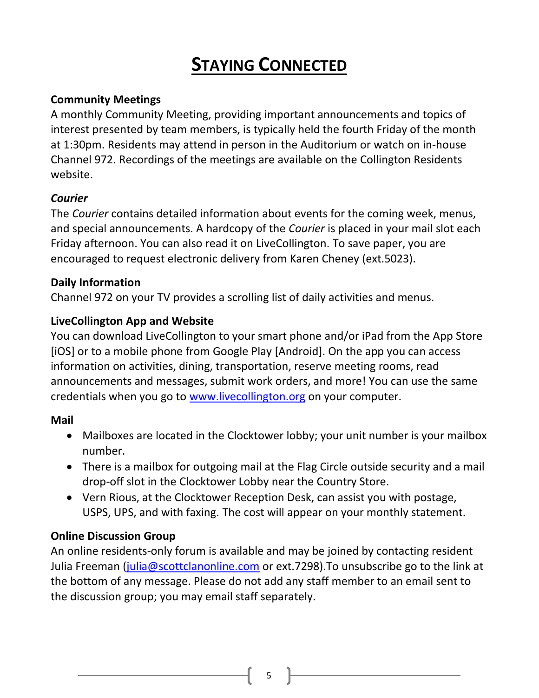# **STAYING CONNECTED**

#### **Community Meetings**

A monthly Community Meeting, providing important announcements and topics of interest presented by team members, is typically held the fourth Friday of the month at 1:30pm. Residents may attend in person in the Auditorium or watch on in-house Channel 972. Recordings of the meetings are available on the Collington Residents website.

#### *Courier*

The *Courier* contains detailed information about events for the coming week, menus, and special announcements. A hardcopy of the *Courier* is placed in your mail slot each Friday afternoon. You can also read it on LiveCollington. To save paper, you are encouraged to request electronic delivery from Karen Cheney (ext.5023).

#### **Daily Information**

Channel 972 on your TV provides a scrolling list of daily activities and menus.

#### **LiveCollington App and Website**

You can download LiveCollington to your smart phone and/or iPad from the App Store [iOS] or to a mobile phone from Google Play [Android]. On the app you can access information on activities, dining, transportation, reserve meeting rooms, read announcements and messages, submit work orders, and more! You can use the same credentials when you go to [www.livecollington.org](http://www.livecollington.org/) on your computer.

#### **Mail**

- Mailboxes are located in the Clocktower lobby; your unit number is your mailbox number.
- There is a mailbox for outgoing mail at the Flag Circle outside security and a mail drop-off slot in the Clocktower Lobby near the Country Store.
- Vern Rious, at the Clocktower Reception Desk, can assist you with postage, USPS, UPS, and with faxing. The cost will appear on your monthly statement.

#### **Online Discussion Group**

An online residents-only forum is available and may be joined by contacting resident Julia Freeman (*julia@scottclanonline.com* or ext.7298).To unsubscribe go to the link at the bottom of any message. Please do not add any staff member to an email sent to the discussion group; you may email staff separately.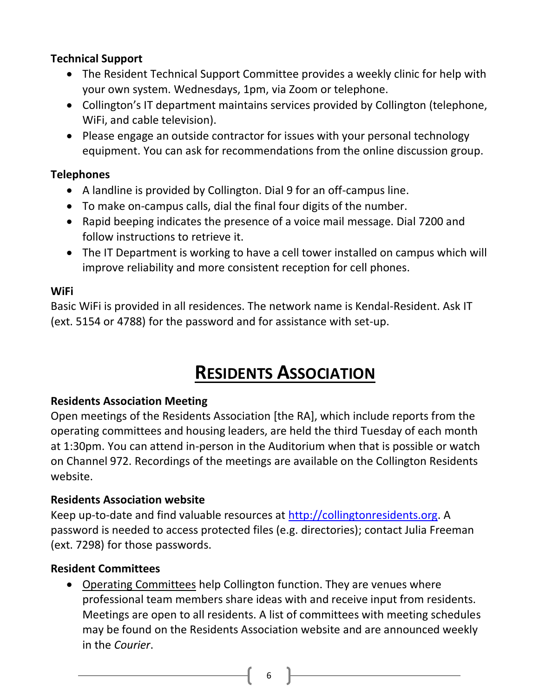### **Technical Support**

- The Resident Technical Support Committee provides a weekly clinic for help with your own system. Wednesdays, 1pm, via Zoom or telephone.
- Collington's IT department maintains services provided by Collington (telephone, WiFi, and cable television).
- Please engage an outside contractor for issues with your personal technology equipment. You can ask for recommendations from the online discussion group.

### **Telephones**

- A landline is provided by Collington. Dial 9 for an off-campus line.
- To make on-campus calls, dial the final four digits of the number.
- Rapid beeping indicates the presence of a voice mail message. Dial 7200 and follow instructions to retrieve it.
- The IT Department is working to have a cell tower installed on campus which will improve reliability and more consistent reception for cell phones.

### **WiFi**

Basic WiFi is provided in all residences. The network name is Kendal-Resident. Ask IT (ext. 5154 or 4788) for the password and for assistance with set-up.

# **RESIDENTS ASSOCIATION**

## **Residents Association Meeting**

Open meetings of the Residents Association [the RA], which include reports from the operating committees and housing leaders, are held the third Tuesday of each month at 1:30pm. You can attend in-person in the Auditorium when that is possible or watch on Channel 972. Recordings of the meetings are available on the Collington Residents website.

## **Residents Association website**

Keep up-to-date and find valuable resources at [http://collingtonresidents.org.](http://collingtonresidents.org/) A password is needed to access protected files (e.g. directories); contact Julia Freeman (ext. 7298) for those passwords.

#### **Resident Committees**

 Operating Committees help Collington function. They are venues where professional team members share ideas with and receive input from residents. Meetings are open to all residents. A list of committees with meeting schedules may be found on the Residents Association website and are announced weekly in the *Courier*.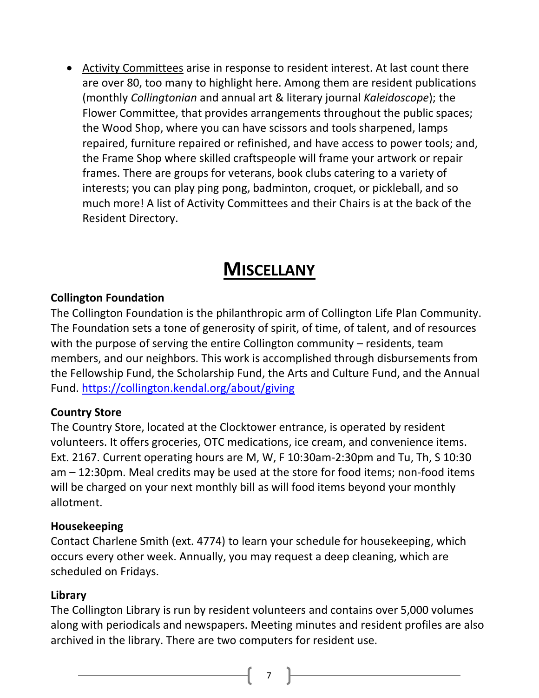Activity Committees arise in response to resident interest. At last count there are over 80, too many to highlight here. Among them are resident publications (monthly *Collingtonian* and annual art & literary journal *Kaleidoscope*); the Flower Committee, that provides arrangements throughout the public spaces; the Wood Shop, where you can have scissors and tools sharpened, lamps repaired, furniture repaired or refinished, and have access to power tools; and, the Frame Shop where skilled craftspeople will frame your artwork or repair frames. There are groups for veterans, book clubs catering to a variety of interests; you can play ping pong, badminton, croquet, or pickleball, and so much more! A list of Activity Committees and their Chairs is at the back of the Resident Directory.

# **MISCELLANY**

#### **Collington Foundation**

The Collington Foundation is the philanthropic arm of Collington Life Plan Community. The Foundation sets a tone of generosity of spirit, of time, of talent, and of resources with the purpose of serving the entire Collington community – residents, team members, and our neighbors. This work is accomplished through disbursements from the Fellowship Fund, the Scholarship Fund, the Arts and Culture Fund, and the Annual Fund. <https://collington.kendal.org/about/giving>

#### **Country Store**

The Country Store, located at the Clocktower entrance, is operated by resident volunteers. It offers groceries, OTC medications, ice cream, and convenience items. Ext. 2167. Current operating hours are M, W, F 10:30am-2:30pm and Tu, Th, S 10:30 am – 12:30pm. Meal credits may be used at the store for food items; non-food items will be charged on your next monthly bill as will food items beyond your monthly allotment.

#### **Housekeeping**

Contact Charlene Smith (ext. 4774) to learn your schedule for housekeeping, which occurs every other week. Annually, you may request a deep cleaning, which are scheduled on Fridays.

#### **Library**

The Collington Library is run by resident volunteers and contains over 5,000 volumes along with periodicals and newspapers. Meeting minutes and resident profiles are also archived in the library. There are two computers for resident use.